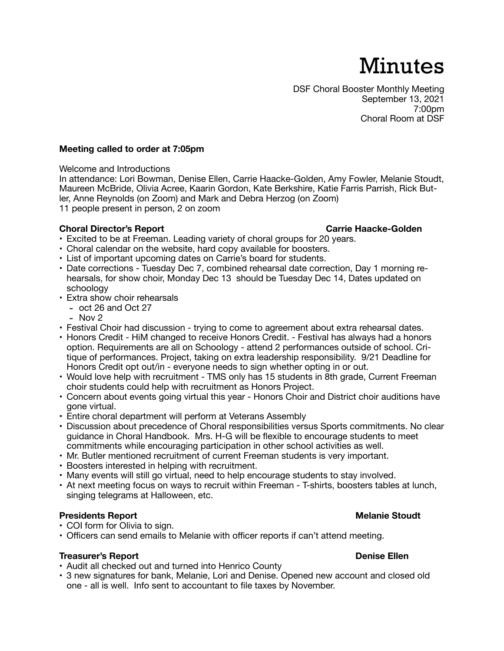# Minutes

# **Meeting called to order at 7:05pm**

Welcome and Introductions

In attendance: Lori Bowman, Denise Ellen, Carrie Haacke-Golden, Amy Fowler, Melanie Stoudt, Maureen McBride, Olivia Acree, Kaarin Gordon, Kate Berkshire, Katie Farris Parrish, Rick Butler, Anne Reynolds (on Zoom) and Mark and Debra Herzog (on Zoom) 11 people present in person, 2 on zoom

# **Choral Director's Report Carrie Haacke-Golden Carrie Haacke-Golden**

- Excited to be at Freeman. Leading variety of choral groups for 20 years.
- Choral calendar on the website, hard copy available for boosters.
- List of important upcoming dates on Carrie's board for students.
- Date corrections Tuesday Dec 7, combined rehearsal date correction, Day 1 morning rehearsals, for show choir, Monday Dec 13 should be Tuesday Dec 14, Dates updated on schoology
- Extra show choir rehearsals
	- oct 26 and Oct 27
	- $-$  Nov  $2$
- Festival Choir had discussion trying to come to agreement about extra rehearsal dates.
- Honors Credit HiM changed to receive Honors Credit. Festival has always had a honors option. Requirements are all on Schoology - attend 2 performances outside of school. Critique of performances. Project, taking on extra leadership responsibility. 9/21 Deadline for Honors Credit opt out/in - everyone needs to sign whether opting in or out.
- Would love help with recruitment TMS only has 15 students in 8th grade, Current Freeman choir students could help with recruitment as Honors Project.
- Concern about events going virtual this year Honors Choir and District choir auditions have gone virtual.
- Entire choral department will perform at Veterans Assembly
- Discussion about precedence of Choral responsibilities versus Sports commitments. No clear guidance in Choral Handbook. Mrs. H-G will be flexible to encourage students to meet commitments while encouraging participation in other school activities as well.
- Mr. Butler mentioned recruitment of current Freeman students is very important.
- Boosters interested in helping with recruitment.
- Many events will still go virtual, need to help encourage students to stay involved.
- At next meeting focus on ways to recruit within Freeman T-shirts, boosters tables at lunch, singing telegrams at Halloween, etc.

# **Presidents Report Melanie Stoudt**

- COI form for Olivia to sign.
- Officers can send emails to Melanie with officer reports if can't attend meeting.

# **Treasurer's Report Denise Ellen Denise Ellen Denise Ellen**

- Audit all checked out and turned into Henrico County
- 3 new signatures for bank, Melanie, Lori and Denise. Opened new account and closed old one - all is well. Info sent to accountant to file taxes by November.